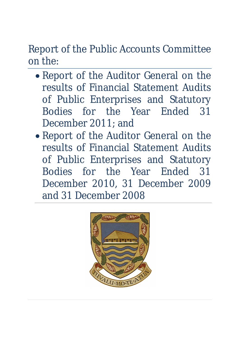Report of the Public Accounts Committee on the:

- Report of the Auditor General on the results of Financial Statement Audits of Public Enterprises and Statutory Bodies for the Year Ended 31 December 2011; and
- Report of the Auditor General on the results of Financial Statement Audits of Public Enterprises and Statutory Bodies for the Year Ended 31 December 2010, 31 December 2009 and 31 December 2008

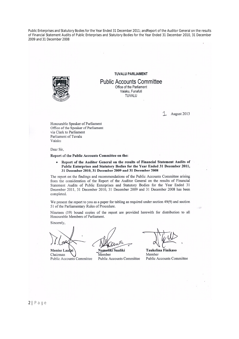#### **TUVALU PARLIAMENT**



**Public Accounts Committee** Office of the Parliament

Vaiaku, Funafuti TUVALU

August 2013

Honourable Speaker of Parliament Office of the Speaker of Parliament via Clark to Parliament Parliament of Tuvalu Vajaku

Dear Sir.

Report of the Public Accounts Committee on the:

Report of the Auditor General on the results of Financial Statement Audits of  $\bullet$ Public Enterprises and Statutory Bodies for the Year Ended 31 December 2011, 31 December 2010, 31 December 2009 and 31 December 2008

The report on the findings and recommendations of the Public Accounts Committee arising from the consideration of the Report of the Auditor General on the results of Financial Statement Audits of Public Enterprises and Statutory Bodies for the Year Ended 31 December 2011, 31 December 2010, 31 December 2009 and 31 December 2008 has been completed.

We present the report to you as a paper for tabling as required under section 49(9) and section 51 of the Parliamentary Rules of Procedure.

Nineteen (19) bound copies of the report are provided herewith for distribution to all Honourable Members of Parliament.

Sincerely,

Monise Laa fai Chairman Public Accounts Committee

Namoliki Sualiki

Member Public Accounts Committee

Taukelina Finikaso Member Public Accounts Committee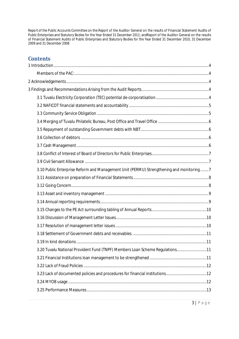# **Contents**

| 3.10 Public Enterprise Reform and Management Unit (PERMU) Strengthening and monitoring 7 |     |
|------------------------------------------------------------------------------------------|-----|
|                                                                                          |     |
|                                                                                          |     |
|                                                                                          |     |
|                                                                                          |     |
|                                                                                          |     |
|                                                                                          |     |
|                                                                                          |     |
|                                                                                          |     |
| 3.19 In kind donations                                                                   | .11 |
| 3.20 Tuvalu National Provident Fund (TNPF) Members Loan Scheme Regulations11             |     |
|                                                                                          |     |
|                                                                                          |     |
| 3.23 Lack of documented policies and procedures for financial institutions12             |     |
|                                                                                          |     |
|                                                                                          |     |
|                                                                                          |     |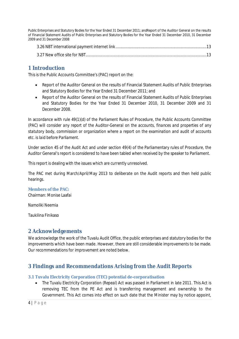## **1 Introduction**

This is the Public Accounts Committee's (PAC) report on the:

- Report of the Auditor General on the results of Financial Statement Audits of Public Enterprises and Statutory Bodies for the Year Ended 31 December 2011; and
- Report of the Auditor General on the results of Financial Statement Audits of Public Enterprises and Statutory Bodies for the Year Ended 31 December 2010, 31 December 2009 and 31 December 2008.

In accordance with rule 49(1)(d) of the Parliament Rules of Procedure, the Public Accounts Committee (PAC) will *consider any report of the Auditor-General on the accounts, finances and properties of any statutory body, commission or organization where a report on the examination and audit of accounts etc. is laid before Parliament.*

Under section 45 of the *Audit Act* and under section 49(4) of the Parliamentary rules of Procedure, the Auditor General's report is considered to have been tabled when received by the speaker to Parliament.

This report is dealing with the issues which are currently unresolved.

The PAC met during March/April/May 2013 to deliberate on the Audit reports and then held public hearings.

### **Members of the PAC:**

Chairman: Monise Laafai

Namoliki Neemia

Taukilina Finikaso

## **2 Acknowledgements**

We acknowledge the work of the Tuvalu Audit Office, the public enterprises and statutory bodies for the improvements which have been made. However, there are still considerable improvements to be made. Our recommendations for improvement are noted below.

## **3 Findings and Recommendations Arising from the Audit Reports**

### **3.1 Tuvalu Electricity Corporation (TEC) potential de-corporatisation**

 The *Tuvalu Electricity Corporation (Repeal) Act* was passed in Parliament in late 2011. This Act is removing TEC from the PE Act and is transferring management and ownership to the Government. This Act comes into effect on such date that the Minister may by notice appoint,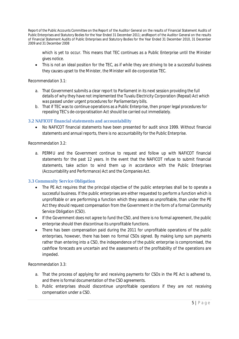which is yet to occur. This means that TEC continues as a Public Enterprise until the Minister gives notice.

• This is not an ideal position for the TEC, as if while they are striving to be a successful business they causes upset to the Minister, the Minister will de-corporatize TEC.

### *Recommendation 3.1*:

- a. That Government submits a clear report to Parliament in its next session providing the full details of why they have not implemented the Tuvalu Electricity Corporation (Repeal) Act which was passed under urgent procedures for Parliamentary bills.
- b. That if TEC was to continue operations as a Public Enterprise, then proper legal procedures for repealing TEC's de-corporatisation Act should be carried out immediately.

### **3.2 NAFICOT financial statements and accountability**

 No NAFICOT financial statements have been presented for audit since 1999. Without financial statements and annual reports, there is no accountability for the Public Enterprise.

### *Recommendation 3.2:*

a. PERMU and the Government continue to request and follow up with NAFICOT financial statements for the past 12 years. In the event that the NAFICOT refuse to submit financial statements, take action to wind them up in accordance with the Public Enterprises (Accountability and Performance) Act and the Companies Act.

### **3.3 Community Service Obligation**

- The PE Act requires that the principal objective of the public enterprises shall be to operate a successful business. If the public enterprises are either requested to perform a function which is unprofitable or are performing a function which they assess as unprofitable, than under the PE Act they should request compensation from the Government in the form of a formal Community Service Obligation (CSO).
- If the Government does not agree to fund the CSO, and there is no formal agreement, the public enterprise should then discontinue its unprofitable functions.
- There has been compensation paid during the 2011 for unprofitable operations of the public enterprises, however, there has been no formal CSOs signed. By making lump sum payments rather than entering into a CSO, the independence of the public enterprise is compromised, the cashflow forecasts are uncertain and the assessments of the profitability of the operations are impeded.

### *Recommendation 3.3:*

- a. That the process of applying for and receiving payments for CSOs in the PE Act is adhered to, and there is formal documentation of the CSO agreements.
- b. Public enterprises should discontinue unprofitable operations if they are not receiving compensation under a CSO.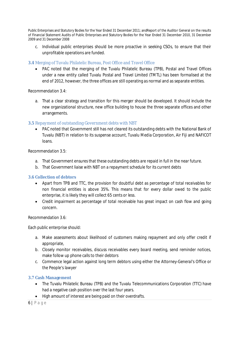c. Individual public enterprises should be more proactive in seeking CSOs, to ensure that their unprofitable operations are funded.

### **3.4** Merging of Tuvalu Philatelic Bureau, Post Office and Travel Office

 PAC noted that the merging of the Tuvalu Philatelic Bureau (TPB), Postal and Travel Offices under a new entity called Tuvalu Postal and Travel Limited (TMTL) has been formalised at the end of 2012, however, the three offices are still operating as normal and as separate entities.

### *Recommendation 3.4:*

a. That a clear strategy and transition for this merger should be developed. It should include the new organizational structure, new office building to house the three separate offices and other arrangements.

### **3.5** Repayment of outstanding Government debts with NBT

 PAC noted that Government still has not cleared its outstanding debts with the National Bank of Tuvalu (NBT) in relation to its suspense account, Tuvalu Media Corporation, Air Fiji and NAFICOT loans.

### *Recommendation 3.5:*

- a. That Government ensures that these outstanding debts are repaid in full in the near future.
- b. That Government liaise with NBT on a repayment schedule for its current debts

### **3.6 Collection of debtors**

- Apart from TPB and TTC, the provision for doubtful debt as percentage of total receivables for non financial entities is above 35%. This means that for every dollar owed to the public enterprise, it is likely they will collect 65 cents or less.
- Credit impairment as percentage of total receivable has great impact on cash flow and going concern.

### *Recommendation 3.6:*

Each public enterprise should:

- a. Make assessments about likelihood of customers making repayment and only offer credit if appropriate,
- b. Closely monitor receivables, discuss receivables every board meeting, send reminder notices, make follow up phone calls to their debtors
- c. Commence legal action against long term debtors using either the Attorney-General's Office or the People's lawyer

### **3.7 Cash Management**

- The Tuvalu Philatelic Bureau (TPB) and the Tuvalu Telecommunications Corporation (TTC) have had a negative cash position over the last four years.
- High amount of interest are being paid on their overdrafts.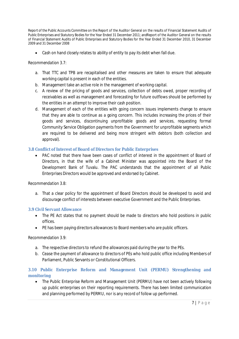Cash on hand closely relates to ability of entity to pay its debt when fall due.

### *Recommendation 3.7:*

- a. That TTC and TPB are recapitalised and other measures are taken to ensure that adequate working capital is present in each of the entities.
- b. Management take an active role in the management of working capital.
- c. A review of the pricing of goods and services, collection of debts owed, proper recording of receivables as well as management and forecasting for future outflows should be performed by the entities in an attempt to improve their cash position.
- d. Management of each of the entities with going concern issues implements change to ensure that they are able to continue as a going concern. This includes increasing the prices of their goods and services, discontinuing unprofitable goods and services, requesting formal Community Service Obligation payments from the Government for unprofitable segments which are required to be delivered and being more stringent with debtors (both collection and approval).

### **3.8 Conflict of Interest of Board of Directors for Public Enterprises**

• PAC noted that there have been cases of conflict of interest in the appointment of Board of Directors, in that the wife of a Cabinet Minister was appointed into the Board of the Development Bank of Tuvalu. The PAC understands that the appointment of all Public Enterprises Directors would be approved and endorsed by Cabinet.

### *Recommendation 3.8:*

a. That a clear policy for the appointment of Board Directors should be developed to avoid and discourage conflict of interests between executive Government and the Public Enterprises.

### **3.9 Civil Servant Allowance**

- The PE Act states that no payment should be made to directors who hold positions in public offices.
- PE has been paying directors allowances to Board members who are public officers.

### *Recommendation 3.9:*

- a. The respective directors to refund the allowances paid during the year to the PEs.
- b. Cease the payment of allowance to directors of PEs who hold public office including Members of Parliament, Public Servants or Constitutional Officers.

### **3.10 Public Enterprise Reform and Management Unit (PERMU) Strengthening and monitoring**

 The Public Enterprise Reform and Management Unit (PERMU) have not been actively following up public enterprises on their reporting requirements. There has been limited communication and planning performed by PERMU, nor is any record of follow up performed.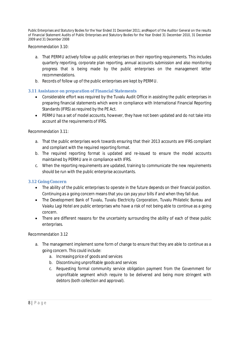*Recommendation* 3.10:

- a. That PERMU actively follow up public enterprises on their reporting requirements. This includes quarterly reporting, corporate plan reporting, annual accounts submission and also monitoring progress that is being made by the public enterprises on the management letter recommendations.
- b. Records of follow up of the public enterprises are kept by PERMU.

### **3.11 Assistance on preparation of Financial Statements**

- Considerable effort was required by the Tuvalu Audit Office in assisting the public enterprises in preparing financial statements which were in compliance with International Financial Reporting Standards (IFRS) as required by the PE Act.
- PERMU has a set of model accounts, however, they have not been updated and do not take into account all the requirements of IFRS.

### *Recommendation 3.11:*

- a. That the public enterprises work towards ensuring that their 2013 accounts are IFRS compliant and compliant with the required reporting format.
- b. The required reporting format is updated and re-issued to ensure the model accounts maintained by PERMU are in compliance with IFRS.
- c. When the reporting requirements are updated, training to communicate the new requirements should be run with the public enterprise accountants.

### **3.12 Going Concern**

- The ability of the public enterprises to operate in the future depends on their financial position. Continuing as a going concern means that you can pay your bills if and when they fall due.
- The Development Bank of Tuvalu, Tuvalu Electricity Corporation, Tuvalu Philatelic Bureau and Vaiaku Lagi Hotel are public enterprises who have a risk of not being able to continue as a going concern.
- There are different reasons for the uncertainty surrounding the ability of each of these public enterprises.

### Recommendation 3.12

- a. The management implement some form of change to ensure that they are able to continue as a going concern. This could include:
	- a. Increasing price of goods and services
	- b. Discontinuing unprofitable goods and services
	- c. Requesting formal community service obligation payment from the Government for unprofitable segment which require to be delivered and being more stringent with debtors (both collection and approval).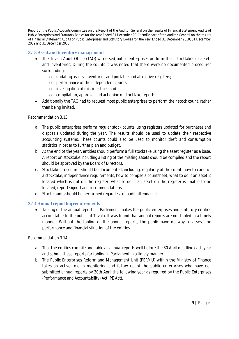### **3.13 Asset and inventory management**

- The Tuvalu Audit Office (TAO) witnessed public enterprises perform their stocktakes of assets and inventories. During the counts it was noted that there were no documented procedures surrounding:
	- o updating assets, inventories and portable and attractive registers;
	- o performance of the independent counts;
	- o investigation of missing stock; and
	- o compilation, approval and actioning of stocktake reports.
- Additionally the TAO had to request most public enterprises to perform their stock count, rather than being invited.

### *Recommendation 3.13:*

- a. The public enterprises perform regular stock counts, using registers updated for purchases and disposals updated during the year. The results should be used to update their respective accounting systems. These counts could also be used to monitor theft and consumption statistics in order to further plan and budget.
- b. At the end of the year, entities should perform a full stocktake using the asset register as a base. A report on stocktake including a listing of the missing assets should be compiled and the report should be approved by the Board of Directors.
- c. Stocktake procedures should be documented, including: regularity of the count, how to conduct a stocktake, independence requirements, how to compile a countsheet, what to do if an asset is located which is not on the register, what to do if an asset on the register is unable to be located, report signoff and recommendations.
- d. Stock counts should be performed regardless of audit attendance.

### **3.14 Annual reporting requirements**

• Tabling of the annual reports in Parliament makes the public enterprises and statutory entities accountable to the public of Tuvalu. It was found that annual reports are not tabled in a timely manner. Without the tabling of the annual reports, the public have no way to assess the performance and financial situation of the entities.

### *Recommendation 3.14:*

- a. That the entities compile and table all annual reports well before the 30 April deadline each year and submit these reports for tabling in Parliament in a timely manner.
- b. The Public Enterprises Reform and Management Unit (PERMU) within the Ministry of Finance takes an active role in monitoring and follow up of the public enterprises who have not submitted annual reports by 30th April the following year as required by *the Public Enterprises (Performance and Accountability) Act* (PE Act).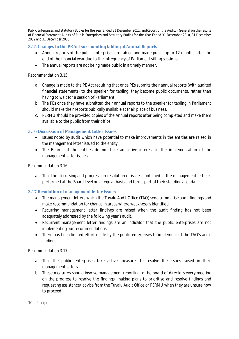### **3.15 Changes to the PE Act surrounding tabling of Annual Reports**

- Annual reports of the public enterprises are tabled and made public up to 12 months after the end of the financial year due to the infrequency of Parliament sitting sessions.
- The annual reports are not being made public in a timely manner.

#### *Recommendation 3.15:*

- a. Change is made to the PE Act requiring that once PEs submits their annual reports (with audited financial statements) to the speaker for tabling, they become public documents, rather than having to wait for a session of Parliament.
- b. The PEs once they have submitted their annual reports to the speaker for tabling in Parliament should make their reports publically available at their place of business.
- c. PERMU should be provided copies of the Annual reports after being completed and make them available to the public from their office.

### **3.16 Discussion of Management Letter Issues**

- Issues noted by audit which have potential to make improvements in the entities are raised in the management letter issued to the entity.
- The Boards of the entities do not take an active interest in the implementation of the management letter issues.

#### *Recommendation 3.16:*

a. That the discussing and progress on resolution of issues contained in the management letter is performed at the Board level on a regular basis and forms part of their standing agenda.

### **3.17 Resolution of management letter issues**

- The management letters which the Tuvalu Audit Office (TAO) send summarise audit findings and make recommendation for change in areas where weakness is identified.
- Recurring management letter findings are raised when the audit finding has not been adequately addressed by the following year's audit.
- Recurrent management letter findings are an indicator that the public enterprises are not implementing our recommendations.
- There has been limited effort made by the public enterprises to implement of the TAO's audit findings.

### *Recommendation 3.17:*

- a. That the public enterprises take active measures to resolve the issues raised in their management letters.
- b. These measures should involve management reporting to the board of directors every meeting on the progress to resolve the findings, making plans to prioritise and resolve findings and requesting assistance/ advice from the Tuvalu Audit Office or PERMU when they are unsure how to proceed.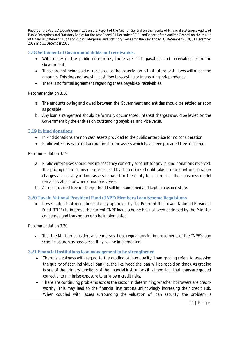### **3.18 Settlement of Government debts and receivables.**

- With many of the public enterprises, there are both payables and receivables from the Government.
- These are not being paid or receipted as the expectation is that future cash flows will offset the amounts. This does not assist in cashflow forecasting or in ensuring independence.
- There is no formal agreement regarding these payables/ receivables.

### *Recommendation 3.18:*

- a. The amounts owing and owed between the Government and entities should be settled as soon as possible.
- b. Any loan arrangement should be formally documented. Interest charges should be levied on the Government by the entities on outstanding payables, and vice versa.

### **3.19 In kind donations**

- In kind donations are non cash assets provided to the public enterprise for no consideration.
- Public enterprises are not accounting for the assets which have been provided free of charge.

### *Recommendation 3.19*:

- a. Public enterprises should ensure that they correctly account for any in kind donations received. The pricing of the goods or services sold by the entities should take into account depreciation charges against any in kind assets donated to the entity to ensure that their business model remains viable if or when donations cease.
- b. Assets provided free of charge should still be maintained and kept in a usable state.

### **3.20 Tuvalu National Provident Fund (TNPF) Members Loan Scheme Regulations**

 It was noted that regulations already approved by the Board of the Tuvalu National Provident Fund (TNPF) to improve the current TNPF loans scheme has not been endorsed by the Minister concerned and thus not able to be implemented.

### *Recommendation 3.20*

a. That the Minister considers and endorses these regulations for improvements of the TNPF's loan scheme as soon as possible so they can be implemented.

### **3.21 Financial Institutions loan management to be strengthened**

- There is weakness with regard to the grading of loan quality. Loan grading refers to assessing the quality of each individual loan (i.e. the likelihood the loan will be repaid on time). As grading is one of the primary functions of the financial institutions it is important that loans are graded correctly, to minimise exposure to unknown credit risks.
- There are continuing problems across the sector in determining whether borrowers are creditworthy. This may lead to the financial institutions unknowingly increasing their credit risk. When coupled with issues surrounding the valuation of loan security, the problem is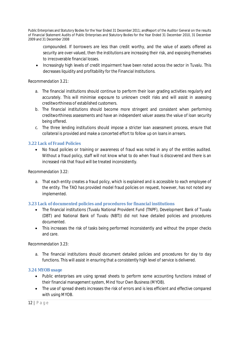compounded. If borrowers are less than credit worthy, and the value of assets offered as security are over-valued, then the institutions are increasing their risk, and exposing themselves to irrecoverable financial losses.

• Increasingly high levels of credit impairment have been noted across the sector in Tuvalu. This decreases liquidity and profitability for the Financial Institutions.

### *Recommendation 3.21:*

- a. The financial institutions should continue to perform their loan grading activities regularly and accurately. This will minimise exposure to unknown credit risks and will assist in assessing creditworthiness of established customers.
- b. The financial institutions should become more stringent and consistent when performing creditworthiness assessments and have an independent valuer assess the value of loan security being offered.
- c. The three lending institutions should impose a stricter loan assessment process, ensure that collateral is provided and make a concerted effort to follow up on loans in arrears.

### **3.22 Lack of Fraud Policies**

 No fraud policies or training or awareness of fraud was noted in any of the entities audited. Without a fraud policy, staff will not know what to do when fraud is discovered and there is an increased risk that fraud will be treated inconsistently.

### *Recommendation 3.22:*

a. That each entity creates a fraud policy, which is explained and is accessible to each employee of the entity. The TAO has provided model fraud policies on request, however, has not noted any implemented.

### **3.23 Lack of documented policies and procedures for financial institutions**

- The financial institutions (Tuvalu National Provident Fund (TNPF), Development Bank of Tuvalu (DBT) and National Bank of Tuvalu (NBT)) did not have detailed policies and procedures documented.
- This increases the risk of tasks being performed inconsistently and without the proper checks and care.

### *Recommendation 3.23:*

a. The financial institutions should document detailed policies and procedures for day to day functions. This will assist in ensuring that a consistently high level of service is delivered.

### **3.24 MYOB usage**

- Public enterprises are using spread sheets to perform some accounting functions instead of their financial management system, Mind Your Own Business (MYOB).
- The use of spread sheets increases the risk of errors and is less efficient and effective compared with using MYOB.